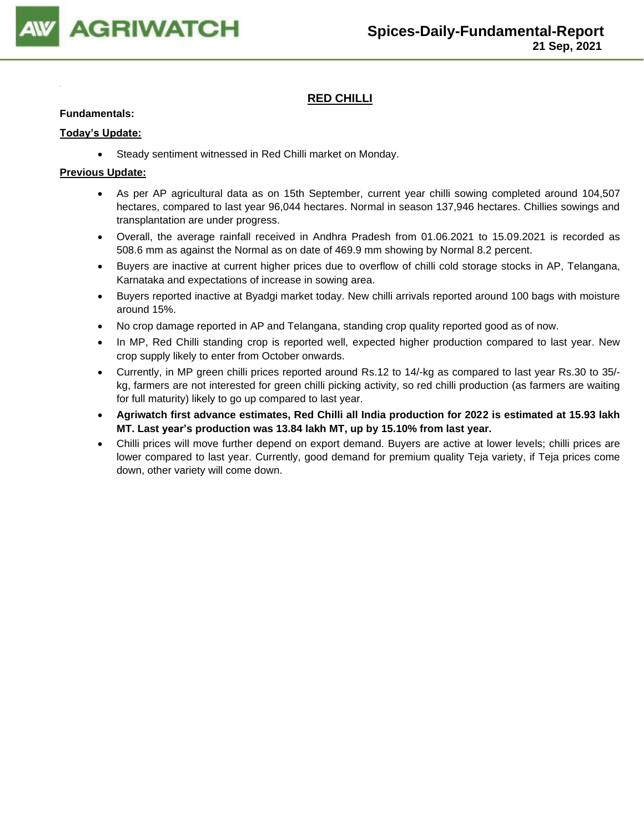

## **RED CHILLI**

### **Fundamentals:**

### **Today's Update:**

• Steady sentiment witnessed in Red Chilli market on Monday.

- As per AP agricultural data as on 15th September, current year chilli sowing completed around 104,507 hectares, compared to last year 96,044 hectares. Normal in season 137,946 hectares. Chillies sowings and transplantation are under progress.
- Overall, the average rainfall received in Andhra Pradesh from 01.06.2021 to 15.09.2021 is recorded as 508.6 mm as against the Normal as on date of 469.9 mm showing by Normal 8.2 percent.
- Buyers are inactive at current higher prices due to overflow of chilli cold storage stocks in AP, Telangana, Karnataka and expectations of increase in sowing area.
- Buyers reported inactive at Byadgi market today. New chilli arrivals reported around 100 bags with moisture around 15%.
- No crop damage reported in AP and Telangana, standing crop quality reported good as of now.
- In MP, Red Chilli standing crop is reported well, expected higher production compared to last year. New crop supply likely to enter from October onwards.
- Currently, in MP green chilli prices reported around Rs.12 to 14/-kg as compared to last year Rs.30 to 35/ kg, farmers are not interested for green chilli picking activity, so red chilli production (as farmers are waiting for full maturity) likely to go up compared to last year.
- **Agriwatch first advance estimates, Red Chilli all India production for 2022 is estimated at 15.93 lakh MT. Last year's production was 13.84 lakh MT, up by 15.10% from last year.**
- Chilli prices will move further depend on export demand. Buyers are active at lower levels; chilli prices are lower compared to last year. Currently, good demand for premium quality Teja variety, if Teja prices come down, other variety will come down.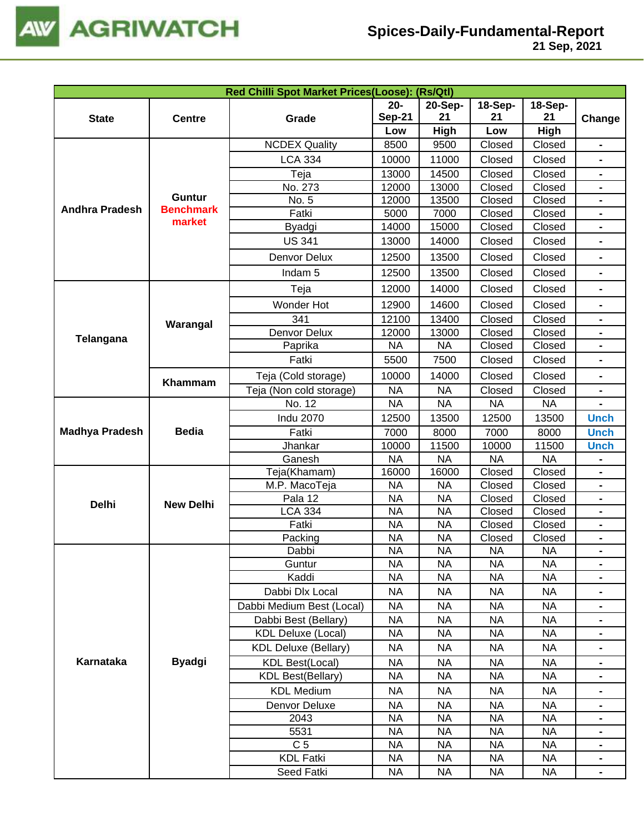

| Red Chilli Spot Market Prices(Loose): (Rs/Qtl)                                                                                                                                                                                                                                                                                                                                                                                                                                                                                                                                                                                                                                                                                                                                                                                                                                                                                                                                                                                                                                                                                                                                                                                                                                                                                                                                                                                                                                                                                                                                                                                                         |               |                      |                                                                                                                                                                                                                                                                                                                                                                                                                                                                                                                                                                                                                                                                                                                                                                                                                                                                                                                                                                                                                                                                                                                                                                                                                                                                                                                                                                                                                                                                                                                                                              |         |         |                |                |  |
|--------------------------------------------------------------------------------------------------------------------------------------------------------------------------------------------------------------------------------------------------------------------------------------------------------------------------------------------------------------------------------------------------------------------------------------------------------------------------------------------------------------------------------------------------------------------------------------------------------------------------------------------------------------------------------------------------------------------------------------------------------------------------------------------------------------------------------------------------------------------------------------------------------------------------------------------------------------------------------------------------------------------------------------------------------------------------------------------------------------------------------------------------------------------------------------------------------------------------------------------------------------------------------------------------------------------------------------------------------------------------------------------------------------------------------------------------------------------------------------------------------------------------------------------------------------------------------------------------------------------------------------------------------|---------------|----------------------|--------------------------------------------------------------------------------------------------------------------------------------------------------------------------------------------------------------------------------------------------------------------------------------------------------------------------------------------------------------------------------------------------------------------------------------------------------------------------------------------------------------------------------------------------------------------------------------------------------------------------------------------------------------------------------------------------------------------------------------------------------------------------------------------------------------------------------------------------------------------------------------------------------------------------------------------------------------------------------------------------------------------------------------------------------------------------------------------------------------------------------------------------------------------------------------------------------------------------------------------------------------------------------------------------------------------------------------------------------------------------------------------------------------------------------------------------------------------------------------------------------------------------------------------------------------|---------|---------|----------------|----------------|--|
|                                                                                                                                                                                                                                                                                                                                                                                                                                                                                                                                                                                                                                                                                                                                                                                                                                                                                                                                                                                                                                                                                                                                                                                                                                                                                                                                                                                                                                                                                                                                                                                                                                                        |               |                      | $20-$                                                                                                                                                                                                                                                                                                                                                                                                                                                                                                                                                                                                                                                                                                                                                                                                                                                                                                                                                                                                                                                                                                                                                                                                                                                                                                                                                                                                                                                                                                                                                        | 20-Sep- | 18-Sep- | <b>18-Sep-</b> |                |  |
| <b>State</b>                                                                                                                                                                                                                                                                                                                                                                                                                                                                                                                                                                                                                                                                                                                                                                                                                                                                                                                                                                                                                                                                                                                                                                                                                                                                                                                                                                                                                                                                                                                                                                                                                                           | <b>Centre</b> | Grade                | <b>Sep-21</b>                                                                                                                                                                                                                                                                                                                                                                                                                                                                                                                                                                                                                                                                                                                                                                                                                                                                                                                                                                                                                                                                                                                                                                                                                                                                                                                                                                                                                                                                                                                                                | 21      | 21      | 21             | Change         |  |
|                                                                                                                                                                                                                                                                                                                                                                                                                                                                                                                                                                                                                                                                                                                                                                                                                                                                                                                                                                                                                                                                                                                                                                                                                                                                                                                                                                                                                                                                                                                                                                                                                                                        |               |                      | High<br>Low<br>High<br>Low<br>8500<br>9500<br>Closed<br>Closed<br>10000<br>11000<br>Closed<br>Closed<br>$\blacksquare$<br>14500<br>Closed<br>13000<br>Closed<br>12000<br>13000<br>Closed<br>Closed<br>12000<br>13500<br>Closed<br>Closed<br>7000<br>Closed<br>5000<br>Closed<br>14000<br>15000<br>Closed<br>Closed<br>13000<br>14000<br>Closed<br>Closed<br>$\blacksquare$<br>12500<br>13500<br>Closed<br>Closed<br>12500<br>13500<br>Closed<br>Closed<br>$\blacksquare$<br>14000<br>Closed<br>Closed<br>12000<br>14600<br>Closed<br>12900<br>Closed<br>$\blacksquare$<br>Closed<br>12100<br>13400<br>Closed<br>Closed<br>12000<br>13000<br>Closed<br>$\blacksquare$<br><b>NA</b><br><b>NA</b><br>Closed<br>Closed<br>5500<br>7500<br>Closed<br>Closed<br>$\blacksquare$<br>Closed<br>Closed<br>10000<br>14000<br><b>NA</b><br><b>NA</b><br>Closed<br>Closed<br><b>NA</b><br><b>NA</b><br><b>NA</b><br><b>NA</b><br>12500<br>13500<br>12500<br>13500<br><b>Unch</b><br>7000<br>8000<br>7000<br>8000<br><b>Unch</b><br>10000<br>11500<br>10000<br>11500<br><b>Unch</b><br><b>NA</b><br><b>NA</b><br><b>NA</b><br><b>NA</b><br>16000<br>Closed<br>Closed<br>16000<br><b>NA</b><br>Closed<br>Closed<br><b>NA</b><br><b>NA</b><br><b>NA</b><br>Closed<br>Closed<br>Closed<br>Closed<br><b>NA</b><br><b>NA</b><br>$\blacksquare$<br>Closed<br><b>NA</b><br><b>NA</b><br>Closed<br>$\blacksquare$<br><b>NA</b><br><b>NA</b><br>Closed<br>Closed<br>$\blacksquare$<br><b>NA</b><br><b>NA</b><br><b>NA</b><br><b>NA</b><br><b>NA</b><br>NA<br><b>NA</b><br><b>NA</b> |         |         |                |                |  |
|                                                                                                                                                                                                                                                                                                                                                                                                                                                                                                                                                                                                                                                                                                                                                                                                                                                                                                                                                                                                                                                                                                                                                                                                                                                                                                                                                                                                                                                                                                                                                                                                                                                        |               | <b>NCDEX Quality</b> |                                                                                                                                                                                                                                                                                                                                                                                                                                                                                                                                                                                                                                                                                                                                                                                                                                                                                                                                                                                                                                                                                                                                                                                                                                                                                                                                                                                                                                                                                                                                                              |         |         |                |                |  |
|                                                                                                                                                                                                                                                                                                                                                                                                                                                                                                                                                                                                                                                                                                                                                                                                                                                                                                                                                                                                                                                                                                                                                                                                                                                                                                                                                                                                                                                                                                                                                                                                                                                        |               | <b>LCA 334</b>       |                                                                                                                                                                                                                                                                                                                                                                                                                                                                                                                                                                                                                                                                                                                                                                                                                                                                                                                                                                                                                                                                                                                                                                                                                                                                                                                                                                                                                                                                                                                                                              |         |         |                |                |  |
|                                                                                                                                                                                                                                                                                                                                                                                                                                                                                                                                                                                                                                                                                                                                                                                                                                                                                                                                                                                                                                                                                                                                                                                                                                                                                                                                                                                                                                                                                                                                                                                                                                                        |               | Teja                 |                                                                                                                                                                                                                                                                                                                                                                                                                                                                                                                                                                                                                                                                                                                                                                                                                                                                                                                                                                                                                                                                                                                                                                                                                                                                                                                                                                                                                                                                                                                                                              |         |         |                |                |  |
|                                                                                                                                                                                                                                                                                                                                                                                                                                                                                                                                                                                                                                                                                                                                                                                                                                                                                                                                                                                                                                                                                                                                                                                                                                                                                                                                                                                                                                                                                                                                                                                                                                                        |               | No. 273              |                                                                                                                                                                                                                                                                                                                                                                                                                                                                                                                                                                                                                                                                                                                                                                                                                                                                                                                                                                                                                                                                                                                                                                                                                                                                                                                                                                                                                                                                                                                                                              |         |         |                |                |  |
|                                                                                                                                                                                                                                                                                                                                                                                                                                                                                                                                                                                                                                                                                                                                                                                                                                                                                                                                                                                                                                                                                                                                                                                                                                                                                                                                                                                                                                                                                                                                                                                                                                                        |               | No. 5                |                                                                                                                                                                                                                                                                                                                                                                                                                                                                                                                                                                                                                                                                                                                                                                                                                                                                                                                                                                                                                                                                                                                                                                                                                                                                                                                                                                                                                                                                                                                                                              |         |         |                |                |  |
|                                                                                                                                                                                                                                                                                                                                                                                                                                                                                                                                                                                                                                                                                                                                                                                                                                                                                                                                                                                                                                                                                                                                                                                                                                                                                                                                                                                                                                                                                                                                                                                                                                                        |               | Fatki                |                                                                                                                                                                                                                                                                                                                                                                                                                                                                                                                                                                                                                                                                                                                                                                                                                                                                                                                                                                                                                                                                                                                                                                                                                                                                                                                                                                                                                                                                                                                                                              |         |         |                |                |  |
|                                                                                                                                                                                                                                                                                                                                                                                                                                                                                                                                                                                                                                                                                                                                                                                                                                                                                                                                                                                                                                                                                                                                                                                                                                                                                                                                                                                                                                                                                                                                                                                                                                                        |               | Byadgi               |                                                                                                                                                                                                                                                                                                                                                                                                                                                                                                                                                                                                                                                                                                                                                                                                                                                                                                                                                                                                                                                                                                                                                                                                                                                                                                                                                                                                                                                                                                                                                              |         |         |                |                |  |
|                                                                                                                                                                                                                                                                                                                                                                                                                                                                                                                                                                                                                                                                                                                                                                                                                                                                                                                                                                                                                                                                                                                                                                                                                                                                                                                                                                                                                                                                                                                                                                                                                                                        |               | <b>US 341</b>        |                                                                                                                                                                                                                                                                                                                                                                                                                                                                                                                                                                                                                                                                                                                                                                                                                                                                                                                                                                                                                                                                                                                                                                                                                                                                                                                                                                                                                                                                                                                                                              |         |         |                |                |  |
|                                                                                                                                                                                                                                                                                                                                                                                                                                                                                                                                                                                                                                                                                                                                                                                                                                                                                                                                                                                                                                                                                                                                                                                                                                                                                                                                                                                                                                                                                                                                                                                                                                                        |               | Denvor Delux         |                                                                                                                                                                                                                                                                                                                                                                                                                                                                                                                                                                                                                                                                                                                                                                                                                                                                                                                                                                                                                                                                                                                                                                                                                                                                                                                                                                                                                                                                                                                                                              |         |         |                |                |  |
| <b>Guntur</b><br><b>Andhra Pradesh</b><br><b>Benchmark</b><br>market<br>Indam <sub>5</sub><br>Teja<br>Wonder Hot<br>341<br>Warangal<br>Denvor Delux<br>Telangana<br>Paprika<br>Fatki<br>Teja (Cold storage)<br>Khammam<br>Teja (Non cold storage)<br>No. 12<br><b>Indu 2070</b><br><b>Bedia</b><br><b>Madhya Pradesh</b><br>Fatki<br>Jhankar<br>Ganesh<br>Teja(Khamam)<br>M.P. MacoTeja<br>Pala 12<br><b>Delhi</b><br><b>New Delhi</b><br><b>LCA 334</b><br>Fatki<br>Packing<br>Dabbi<br>Guntur<br>Kaddi<br><b>NA</b><br><b>NA</b><br><b>NA</b><br><b>NA</b><br>Dabbi Dlx Local<br><b>NA</b><br><b>NA</b><br><b>NA</b><br><b>NA</b><br>Dabbi Medium Best (Local)<br><b>NA</b><br><b>NA</b><br><b>NA</b><br><b>NA</b><br><b>NA</b><br>Dabbi Best (Bellary)<br><b>NA</b><br><b>NA</b><br><b>NA</b><br><b>KDL Deluxe (Local)</b><br><b>NA</b><br><b>NA</b><br><b>NA</b><br><b>NA</b><br><b>NA</b><br><b>NA</b><br><b>NA</b><br><b>KDL Deluxe (Bellary)</b><br><b>NA</b><br>Karnataka<br><b>Byadgi</b><br><b>KDL Best(Local)</b><br><b>NA</b><br><b>NA</b><br><b>NA</b><br><b>NA</b><br><b>KDL Best(Bellary)</b><br><b>NA</b><br><b>NA</b><br><b>NA</b><br><b>NA</b><br><b>KDL Medium</b><br><b>NA</b><br><b>NA</b><br><b>NA</b><br><b>NA</b><br>Denvor Deluxe<br><b>NA</b><br><b>NA</b><br><b>NA</b><br><b>NA</b><br>2043<br><b>NA</b><br><b>NA</b><br><b>NA</b><br><b>NA</b><br>5531<br><b>NA</b><br><b>NA</b><br><b>NA</b><br><b>NA</b><br>C <sub>5</sub><br><b>NA</b><br><b>NA</b><br><b>NA</b><br><b>NA</b><br><b>KDL Fatki</b><br><b>NA</b><br><b>NA</b><br><b>NA</b><br><b>NA</b><br>Seed Fatki<br><b>NA</b><br><b>NA</b><br><b>NA</b><br><b>NA</b> |               |                      |                                                                                                                                                                                                                                                                                                                                                                                                                                                                                                                                                                                                                                                                                                                                                                                                                                                                                                                                                                                                                                                                                                                                                                                                                                                                                                                                                                                                                                                                                                                                                              |         |         |                |                |  |
|                                                                                                                                                                                                                                                                                                                                                                                                                                                                                                                                                                                                                                                                                                                                                                                                                                                                                                                                                                                                                                                                                                                                                                                                                                                                                                                                                                                                                                                                                                                                                                                                                                                        |               |                      |                                                                                                                                                                                                                                                                                                                                                                                                                                                                                                                                                                                                                                                                                                                                                                                                                                                                                                                                                                                                                                                                                                                                                                                                                                                                                                                                                                                                                                                                                                                                                              |         |         |                |                |  |
|                                                                                                                                                                                                                                                                                                                                                                                                                                                                                                                                                                                                                                                                                                                                                                                                                                                                                                                                                                                                                                                                                                                                                                                                                                                                                                                                                                                                                                                                                                                                                                                                                                                        |               |                      |                                                                                                                                                                                                                                                                                                                                                                                                                                                                                                                                                                                                                                                                                                                                                                                                                                                                                                                                                                                                                                                                                                                                                                                                                                                                                                                                                                                                                                                                                                                                                              |         |         |                |                |  |
|                                                                                                                                                                                                                                                                                                                                                                                                                                                                                                                                                                                                                                                                                                                                                                                                                                                                                                                                                                                                                                                                                                                                                                                                                                                                                                                                                                                                                                                                                                                                                                                                                                                        |               |                      |                                                                                                                                                                                                                                                                                                                                                                                                                                                                                                                                                                                                                                                                                                                                                                                                                                                                                                                                                                                                                                                                                                                                                                                                                                                                                                                                                                                                                                                                                                                                                              |         |         |                |                |  |
|                                                                                                                                                                                                                                                                                                                                                                                                                                                                                                                                                                                                                                                                                                                                                                                                                                                                                                                                                                                                                                                                                                                                                                                                                                                                                                                                                                                                                                                                                                                                                                                                                                                        |               |                      |                                                                                                                                                                                                                                                                                                                                                                                                                                                                                                                                                                                                                                                                                                                                                                                                                                                                                                                                                                                                                                                                                                                                                                                                                                                                                                                                                                                                                                                                                                                                                              |         |         |                |                |  |
|                                                                                                                                                                                                                                                                                                                                                                                                                                                                                                                                                                                                                                                                                                                                                                                                                                                                                                                                                                                                                                                                                                                                                                                                                                                                                                                                                                                                                                                                                                                                                                                                                                                        |               |                      |                                                                                                                                                                                                                                                                                                                                                                                                                                                                                                                                                                                                                                                                                                                                                                                                                                                                                                                                                                                                                                                                                                                                                                                                                                                                                                                                                                                                                                                                                                                                                              |         |         |                |                |  |
|                                                                                                                                                                                                                                                                                                                                                                                                                                                                                                                                                                                                                                                                                                                                                                                                                                                                                                                                                                                                                                                                                                                                                                                                                                                                                                                                                                                                                                                                                                                                                                                                                                                        |               |                      |                                                                                                                                                                                                                                                                                                                                                                                                                                                                                                                                                                                                                                                                                                                                                                                                                                                                                                                                                                                                                                                                                                                                                                                                                                                                                                                                                                                                                                                                                                                                                              |         |         |                |                |  |
|                                                                                                                                                                                                                                                                                                                                                                                                                                                                                                                                                                                                                                                                                                                                                                                                                                                                                                                                                                                                                                                                                                                                                                                                                                                                                                                                                                                                                                                                                                                                                                                                                                                        |               |                      |                                                                                                                                                                                                                                                                                                                                                                                                                                                                                                                                                                                                                                                                                                                                                                                                                                                                                                                                                                                                                                                                                                                                                                                                                                                                                                                                                                                                                                                                                                                                                              |         |         |                |                |  |
|                                                                                                                                                                                                                                                                                                                                                                                                                                                                                                                                                                                                                                                                                                                                                                                                                                                                                                                                                                                                                                                                                                                                                                                                                                                                                                                                                                                                                                                                                                                                                                                                                                                        |               |                      |                                                                                                                                                                                                                                                                                                                                                                                                                                                                                                                                                                                                                                                                                                                                                                                                                                                                                                                                                                                                                                                                                                                                                                                                                                                                                                                                                                                                                                                                                                                                                              |         |         |                |                |  |
|                                                                                                                                                                                                                                                                                                                                                                                                                                                                                                                                                                                                                                                                                                                                                                                                                                                                                                                                                                                                                                                                                                                                                                                                                                                                                                                                                                                                                                                                                                                                                                                                                                                        |               |                      |                                                                                                                                                                                                                                                                                                                                                                                                                                                                                                                                                                                                                                                                                                                                                                                                                                                                                                                                                                                                                                                                                                                                                                                                                                                                                                                                                                                                                                                                                                                                                              |         |         |                |                |  |
|                                                                                                                                                                                                                                                                                                                                                                                                                                                                                                                                                                                                                                                                                                                                                                                                                                                                                                                                                                                                                                                                                                                                                                                                                                                                                                                                                                                                                                                                                                                                                                                                                                                        |               |                      |                                                                                                                                                                                                                                                                                                                                                                                                                                                                                                                                                                                                                                                                                                                                                                                                                                                                                                                                                                                                                                                                                                                                                                                                                                                                                                                                                                                                                                                                                                                                                              |         |         |                |                |  |
|                                                                                                                                                                                                                                                                                                                                                                                                                                                                                                                                                                                                                                                                                                                                                                                                                                                                                                                                                                                                                                                                                                                                                                                                                                                                                                                                                                                                                                                                                                                                                                                                                                                        |               |                      |                                                                                                                                                                                                                                                                                                                                                                                                                                                                                                                                                                                                                                                                                                                                                                                                                                                                                                                                                                                                                                                                                                                                                                                                                                                                                                                                                                                                                                                                                                                                                              |         |         |                |                |  |
|                                                                                                                                                                                                                                                                                                                                                                                                                                                                                                                                                                                                                                                                                                                                                                                                                                                                                                                                                                                                                                                                                                                                                                                                                                                                                                                                                                                                                                                                                                                                                                                                                                                        |               |                      |                                                                                                                                                                                                                                                                                                                                                                                                                                                                                                                                                                                                                                                                                                                                                                                                                                                                                                                                                                                                                                                                                                                                                                                                                                                                                                                                                                                                                                                                                                                                                              |         |         |                |                |  |
|                                                                                                                                                                                                                                                                                                                                                                                                                                                                                                                                                                                                                                                                                                                                                                                                                                                                                                                                                                                                                                                                                                                                                                                                                                                                                                                                                                                                                                                                                                                                                                                                                                                        |               |                      |                                                                                                                                                                                                                                                                                                                                                                                                                                                                                                                                                                                                                                                                                                                                                                                                                                                                                                                                                                                                                                                                                                                                                                                                                                                                                                                                                                                                                                                                                                                                                              |         |         |                |                |  |
|                                                                                                                                                                                                                                                                                                                                                                                                                                                                                                                                                                                                                                                                                                                                                                                                                                                                                                                                                                                                                                                                                                                                                                                                                                                                                                                                                                                                                                                                                                                                                                                                                                                        |               |                      |                                                                                                                                                                                                                                                                                                                                                                                                                                                                                                                                                                                                                                                                                                                                                                                                                                                                                                                                                                                                                                                                                                                                                                                                                                                                                                                                                                                                                                                                                                                                                              |         |         |                |                |  |
|                                                                                                                                                                                                                                                                                                                                                                                                                                                                                                                                                                                                                                                                                                                                                                                                                                                                                                                                                                                                                                                                                                                                                                                                                                                                                                                                                                                                                                                                                                                                                                                                                                                        |               |                      |                                                                                                                                                                                                                                                                                                                                                                                                                                                                                                                                                                                                                                                                                                                                                                                                                                                                                                                                                                                                                                                                                                                                                                                                                                                                                                                                                                                                                                                                                                                                                              |         |         |                |                |  |
|                                                                                                                                                                                                                                                                                                                                                                                                                                                                                                                                                                                                                                                                                                                                                                                                                                                                                                                                                                                                                                                                                                                                                                                                                                                                                                                                                                                                                                                                                                                                                                                                                                                        |               |                      |                                                                                                                                                                                                                                                                                                                                                                                                                                                                                                                                                                                                                                                                                                                                                                                                                                                                                                                                                                                                                                                                                                                                                                                                                                                                                                                                                                                                                                                                                                                                                              |         |         |                |                |  |
|                                                                                                                                                                                                                                                                                                                                                                                                                                                                                                                                                                                                                                                                                                                                                                                                                                                                                                                                                                                                                                                                                                                                                                                                                                                                                                                                                                                                                                                                                                                                                                                                                                                        |               |                      |                                                                                                                                                                                                                                                                                                                                                                                                                                                                                                                                                                                                                                                                                                                                                                                                                                                                                                                                                                                                                                                                                                                                                                                                                                                                                                                                                                                                                                                                                                                                                              |         |         |                |                |  |
|                                                                                                                                                                                                                                                                                                                                                                                                                                                                                                                                                                                                                                                                                                                                                                                                                                                                                                                                                                                                                                                                                                                                                                                                                                                                                                                                                                                                                                                                                                                                                                                                                                                        |               |                      |                                                                                                                                                                                                                                                                                                                                                                                                                                                                                                                                                                                                                                                                                                                                                                                                                                                                                                                                                                                                                                                                                                                                                                                                                                                                                                                                                                                                                                                                                                                                                              |         |         |                |                |  |
|                                                                                                                                                                                                                                                                                                                                                                                                                                                                                                                                                                                                                                                                                                                                                                                                                                                                                                                                                                                                                                                                                                                                                                                                                                                                                                                                                                                                                                                                                                                                                                                                                                                        |               |                      |                                                                                                                                                                                                                                                                                                                                                                                                                                                                                                                                                                                                                                                                                                                                                                                                                                                                                                                                                                                                                                                                                                                                                                                                                                                                                                                                                                                                                                                                                                                                                              |         |         |                |                |  |
|                                                                                                                                                                                                                                                                                                                                                                                                                                                                                                                                                                                                                                                                                                                                                                                                                                                                                                                                                                                                                                                                                                                                                                                                                                                                                                                                                                                                                                                                                                                                                                                                                                                        |               |                      |                                                                                                                                                                                                                                                                                                                                                                                                                                                                                                                                                                                                                                                                                                                                                                                                                                                                                                                                                                                                                                                                                                                                                                                                                                                                                                                                                                                                                                                                                                                                                              |         |         |                |                |  |
|                                                                                                                                                                                                                                                                                                                                                                                                                                                                                                                                                                                                                                                                                                                                                                                                                                                                                                                                                                                                                                                                                                                                                                                                                                                                                                                                                                                                                                                                                                                                                                                                                                                        |               |                      |                                                                                                                                                                                                                                                                                                                                                                                                                                                                                                                                                                                                                                                                                                                                                                                                                                                                                                                                                                                                                                                                                                                                                                                                                                                                                                                                                                                                                                                                                                                                                              |         |         |                |                |  |
|                                                                                                                                                                                                                                                                                                                                                                                                                                                                                                                                                                                                                                                                                                                                                                                                                                                                                                                                                                                                                                                                                                                                                                                                                                                                                                                                                                                                                                                                                                                                                                                                                                                        |               |                      |                                                                                                                                                                                                                                                                                                                                                                                                                                                                                                                                                                                                                                                                                                                                                                                                                                                                                                                                                                                                                                                                                                                                                                                                                                                                                                                                                                                                                                                                                                                                                              |         |         |                |                |  |
|                                                                                                                                                                                                                                                                                                                                                                                                                                                                                                                                                                                                                                                                                                                                                                                                                                                                                                                                                                                                                                                                                                                                                                                                                                                                                                                                                                                                                                                                                                                                                                                                                                                        |               |                      |                                                                                                                                                                                                                                                                                                                                                                                                                                                                                                                                                                                                                                                                                                                                                                                                                                                                                                                                                                                                                                                                                                                                                                                                                                                                                                                                                                                                                                                                                                                                                              |         |         |                |                |  |
|                                                                                                                                                                                                                                                                                                                                                                                                                                                                                                                                                                                                                                                                                                                                                                                                                                                                                                                                                                                                                                                                                                                                                                                                                                                                                                                                                                                                                                                                                                                                                                                                                                                        |               |                      |                                                                                                                                                                                                                                                                                                                                                                                                                                                                                                                                                                                                                                                                                                                                                                                                                                                                                                                                                                                                                                                                                                                                                                                                                                                                                                                                                                                                                                                                                                                                                              |         |         |                | $\blacksquare$ |  |
|                                                                                                                                                                                                                                                                                                                                                                                                                                                                                                                                                                                                                                                                                                                                                                                                                                                                                                                                                                                                                                                                                                                                                                                                                                                                                                                                                                                                                                                                                                                                                                                                                                                        |               |                      |                                                                                                                                                                                                                                                                                                                                                                                                                                                                                                                                                                                                                                                                                                                                                                                                                                                                                                                                                                                                                                                                                                                                                                                                                                                                                                                                                                                                                                                                                                                                                              |         |         |                | $\blacksquare$ |  |
|                                                                                                                                                                                                                                                                                                                                                                                                                                                                                                                                                                                                                                                                                                                                                                                                                                                                                                                                                                                                                                                                                                                                                                                                                                                                                                                                                                                                                                                                                                                                                                                                                                                        |               |                      |                                                                                                                                                                                                                                                                                                                                                                                                                                                                                                                                                                                                                                                                                                                                                                                                                                                                                                                                                                                                                                                                                                                                                                                                                                                                                                                                                                                                                                                                                                                                                              |         |         |                |                |  |
|                                                                                                                                                                                                                                                                                                                                                                                                                                                                                                                                                                                                                                                                                                                                                                                                                                                                                                                                                                                                                                                                                                                                                                                                                                                                                                                                                                                                                                                                                                                                                                                                                                                        |               |                      |                                                                                                                                                                                                                                                                                                                                                                                                                                                                                                                                                                                                                                                                                                                                                                                                                                                                                                                                                                                                                                                                                                                                                                                                                                                                                                                                                                                                                                                                                                                                                              |         |         |                |                |  |
|                                                                                                                                                                                                                                                                                                                                                                                                                                                                                                                                                                                                                                                                                                                                                                                                                                                                                                                                                                                                                                                                                                                                                                                                                                                                                                                                                                                                                                                                                                                                                                                                                                                        |               |                      |                                                                                                                                                                                                                                                                                                                                                                                                                                                                                                                                                                                                                                                                                                                                                                                                                                                                                                                                                                                                                                                                                                                                                                                                                                                                                                                                                                                                                                                                                                                                                              |         |         |                |                |  |
|                                                                                                                                                                                                                                                                                                                                                                                                                                                                                                                                                                                                                                                                                                                                                                                                                                                                                                                                                                                                                                                                                                                                                                                                                                                                                                                                                                                                                                                                                                                                                                                                                                                        |               |                      |                                                                                                                                                                                                                                                                                                                                                                                                                                                                                                                                                                                                                                                                                                                                                                                                                                                                                                                                                                                                                                                                                                                                                                                                                                                                                                                                                                                                                                                                                                                                                              |         |         |                | $\blacksquare$ |  |
|                                                                                                                                                                                                                                                                                                                                                                                                                                                                                                                                                                                                                                                                                                                                                                                                                                                                                                                                                                                                                                                                                                                                                                                                                                                                                                                                                                                                                                                                                                                                                                                                                                                        |               |                      |                                                                                                                                                                                                                                                                                                                                                                                                                                                                                                                                                                                                                                                                                                                                                                                                                                                                                                                                                                                                                                                                                                                                                                                                                                                                                                                                                                                                                                                                                                                                                              |         |         |                |                |  |
|                                                                                                                                                                                                                                                                                                                                                                                                                                                                                                                                                                                                                                                                                                                                                                                                                                                                                                                                                                                                                                                                                                                                                                                                                                                                                                                                                                                                                                                                                                                                                                                                                                                        |               |                      |                                                                                                                                                                                                                                                                                                                                                                                                                                                                                                                                                                                                                                                                                                                                                                                                                                                                                                                                                                                                                                                                                                                                                                                                                                                                                                                                                                                                                                                                                                                                                              |         |         |                |                |  |
|                                                                                                                                                                                                                                                                                                                                                                                                                                                                                                                                                                                                                                                                                                                                                                                                                                                                                                                                                                                                                                                                                                                                                                                                                                                                                                                                                                                                                                                                                                                                                                                                                                                        |               |                      |                                                                                                                                                                                                                                                                                                                                                                                                                                                                                                                                                                                                                                                                                                                                                                                                                                                                                                                                                                                                                                                                                                                                                                                                                                                                                                                                                                                                                                                                                                                                                              |         |         |                |                |  |
|                                                                                                                                                                                                                                                                                                                                                                                                                                                                                                                                                                                                                                                                                                                                                                                                                                                                                                                                                                                                                                                                                                                                                                                                                                                                                                                                                                                                                                                                                                                                                                                                                                                        |               |                      |                                                                                                                                                                                                                                                                                                                                                                                                                                                                                                                                                                                                                                                                                                                                                                                                                                                                                                                                                                                                                                                                                                                                                                                                                                                                                                                                                                                                                                                                                                                                                              |         |         |                |                |  |
|                                                                                                                                                                                                                                                                                                                                                                                                                                                                                                                                                                                                                                                                                                                                                                                                                                                                                                                                                                                                                                                                                                                                                                                                                                                                                                                                                                                                                                                                                                                                                                                                                                                        |               |                      |                                                                                                                                                                                                                                                                                                                                                                                                                                                                                                                                                                                                                                                                                                                                                                                                                                                                                                                                                                                                                                                                                                                                                                                                                                                                                                                                                                                                                                                                                                                                                              |         |         |                | $\blacksquare$ |  |
|                                                                                                                                                                                                                                                                                                                                                                                                                                                                                                                                                                                                                                                                                                                                                                                                                                                                                                                                                                                                                                                                                                                                                                                                                                                                                                                                                                                                                                                                                                                                                                                                                                                        |               |                      |                                                                                                                                                                                                                                                                                                                                                                                                                                                                                                                                                                                                                                                                                                                                                                                                                                                                                                                                                                                                                                                                                                                                                                                                                                                                                                                                                                                                                                                                                                                                                              |         |         |                | $\blacksquare$ |  |
|                                                                                                                                                                                                                                                                                                                                                                                                                                                                                                                                                                                                                                                                                                                                                                                                                                                                                                                                                                                                                                                                                                                                                                                                                                                                                                                                                                                                                                                                                                                                                                                                                                                        |               |                      |                                                                                                                                                                                                                                                                                                                                                                                                                                                                                                                                                                                                                                                                                                                                                                                                                                                                                                                                                                                                                                                                                                                                                                                                                                                                                                                                                                                                                                                                                                                                                              |         |         |                |                |  |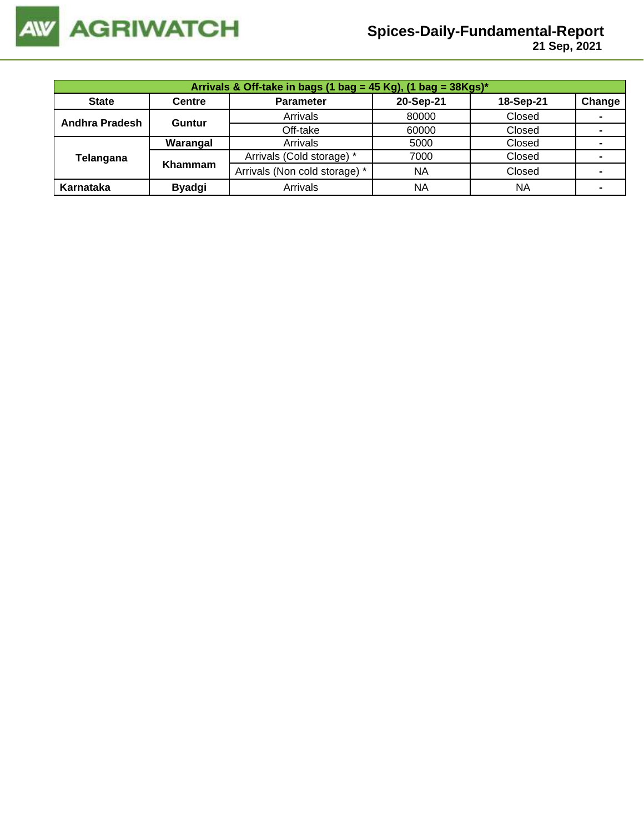

 **21 Sep, 2021**

| Arrivals & Off-take in bags (1 bag = 45 Kg), (1 bag = 38Kgs)* |               |                               |           |           |                |  |  |  |
|---------------------------------------------------------------|---------------|-------------------------------|-----------|-----------|----------------|--|--|--|
| <b>State</b>                                                  | <b>Centre</b> | <b>Parameter</b>              | 20-Sep-21 | 18-Sep-21 | Change         |  |  |  |
| <b>Andhra Pradesh</b>                                         | Guntur        | Arrivals                      | 80000     | Closed    | $\blacksquare$ |  |  |  |
|                                                               |               | Off-take                      | 60000     | Closed    |                |  |  |  |
|                                                               | Warangal      | Arrivals                      | 5000      | Closed    |                |  |  |  |
| Telangana                                                     | Khammam       | Arrivals (Cold storage) *     | 7000      | Closed    |                |  |  |  |
|                                                               |               | Arrivals (Non cold storage) * | <b>NA</b> | Closed    |                |  |  |  |
| Karnataka                                                     | <b>Byadgi</b> | Arrivals                      | <b>NA</b> | <b>NA</b> | ۰              |  |  |  |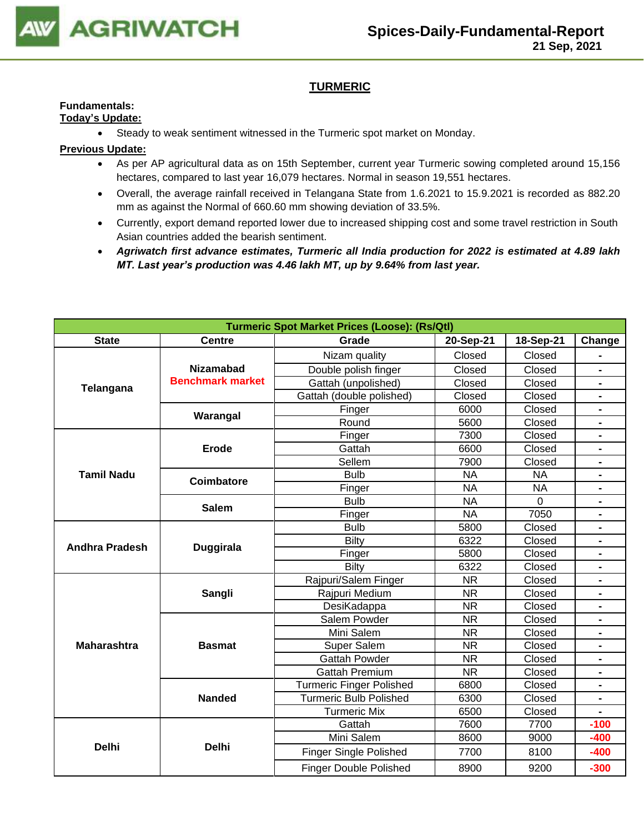

## **TURMERIC**

## **Fundamentals:**

**Today's Update:**

• Steady to weak sentiment witnessed in the Turmeric spot market on Monday.

- As per AP agricultural data as on 15th September, current year Turmeric sowing completed around 15,156 hectares, compared to last year 16,079 hectares. Normal in season 19,551 hectares.
- Overall, the average rainfall received in Telangana State from 1.6.2021 to 15.9.2021 is recorded as 882.20 mm as against the Normal of 660.60 mm showing deviation of 33.5%.
- Currently, export demand reported lower due to increased shipping cost and some travel restriction in South Asian countries added the bearish sentiment.
- *Agriwatch first advance estimates, Turmeric all India production for 2022 is estimated at 4.89 lakh MT. Last year's production was 4.46 lakh MT, up by 9.64% from last year.*

| <b>Turmeric Spot Market Prices (Loose): (Rs/Qtl)</b> |                         |                                                                                                                                                                                                                                                                                                                                                                                                                                                                                                                                                                                                                                                                                                                                                                         |                        |                |                |  |  |
|------------------------------------------------------|-------------------------|-------------------------------------------------------------------------------------------------------------------------------------------------------------------------------------------------------------------------------------------------------------------------------------------------------------------------------------------------------------------------------------------------------------------------------------------------------------------------------------------------------------------------------------------------------------------------------------------------------------------------------------------------------------------------------------------------------------------------------------------------------------------------|------------------------|----------------|----------------|--|--|
| <b>State</b>                                         | <b>Centre</b>           | Grade                                                                                                                                                                                                                                                                                                                                                                                                                                                                                                                                                                                                                                                                                                                                                                   | 20-Sep-21<br>18-Sep-21 |                | Change         |  |  |
|                                                      |                         | Nizam quality                                                                                                                                                                                                                                                                                                                                                                                                                                                                                                                                                                                                                                                                                                                                                           | Closed                 | Closed         |                |  |  |
| Telangana                                            | <b>Nizamabad</b>        | Double polish finger                                                                                                                                                                                                                                                                                                                                                                                                                                                                                                                                                                                                                                                                                                                                                    | Closed                 | Closed         |                |  |  |
|                                                      | <b>Benchmark market</b> | Gattah (unpolished)                                                                                                                                                                                                                                                                                                                                                                                                                                                                                                                                                                                                                                                                                                                                                     | Closed                 | Closed         | $\blacksquare$ |  |  |
|                                                      |                         | Gattah (double polished)                                                                                                                                                                                                                                                                                                                                                                                                                                                                                                                                                                                                                                                                                                                                                | Closed                 | Closed         | $\blacksquare$ |  |  |
|                                                      |                         | Finger                                                                                                                                                                                                                                                                                                                                                                                                                                                                                                                                                                                                                                                                                                                                                                  | 6000                   | Closed         | $\blacksquare$ |  |  |
|                                                      |                         | Warangal<br>Round<br>5600<br>7300<br>Finger<br>6600<br>Gattah<br>Erode<br>7900<br>Sellem<br><b>NA</b><br><b>Bulb</b><br><b>Coimbatore</b><br><b>NA</b><br>Finger<br><b>NA</b><br><b>Bulb</b><br><b>Salem</b><br>Finger<br><b>NA</b><br><b>Bulb</b><br>5800<br>6322<br><b>Bilty</b><br><b>Duggirala</b><br>5800<br>Finger<br>6322<br><b>Bilty</b><br>Rajpuri/Salem Finger<br><b>NR</b><br>Rajpuri Medium<br><b>NR</b><br>Sangli<br><b>NR</b><br>DesiKadappa<br>Salem Powder<br><b>NR</b><br>Mini Salem<br><b>NR</b><br>Super Salem<br><b>NR</b><br><b>Basmat</b><br><b>Gattah Powder</b><br><b>NR</b><br><b>Gattah Premium</b><br><b>NR</b><br><b>Turmeric Finger Polished</b><br>6800<br>Turmeric Bulb Polished<br><b>Nanded</b><br>6300<br><b>Turmeric Mix</b><br>6500 | Closed                 |                |                |  |  |
|                                                      |                         |                                                                                                                                                                                                                                                                                                                                                                                                                                                                                                                                                                                                                                                                                                                                                                         |                        | Closed         | $\blacksquare$ |  |  |
|                                                      |                         |                                                                                                                                                                                                                                                                                                                                                                                                                                                                                                                                                                                                                                                                                                                                                                         |                        | Closed         |                |  |  |
|                                                      |                         |                                                                                                                                                                                                                                                                                                                                                                                                                                                                                                                                                                                                                                                                                                                                                                         |                        | Closed         |                |  |  |
| <b>Tamil Nadu</b>                                    |                         |                                                                                                                                                                                                                                                                                                                                                                                                                                                                                                                                                                                                                                                                                                                                                                         |                        | <b>NA</b>      | $\blacksquare$ |  |  |
|                                                      |                         |                                                                                                                                                                                                                                                                                                                                                                                                                                                                                                                                                                                                                                                                                                                                                                         |                        | <b>NA</b>      | $\blacksquare$ |  |  |
|                                                      |                         |                                                                                                                                                                                                                                                                                                                                                                                                                                                                                                                                                                                                                                                                                                                                                                         |                        | $\overline{0}$ | $\blacksquare$ |  |  |
|                                                      |                         |                                                                                                                                                                                                                                                                                                                                                                                                                                                                                                                                                                                                                                                                                                                                                                         |                        | 7050           |                |  |  |
| <b>Andhra Pradesh</b>                                |                         |                                                                                                                                                                                                                                                                                                                                                                                                                                                                                                                                                                                                                                                                                                                                                                         |                        | Closed         |                |  |  |
|                                                      |                         |                                                                                                                                                                                                                                                                                                                                                                                                                                                                                                                                                                                                                                                                                                                                                                         |                        | Closed         | $\blacksquare$ |  |  |
|                                                      |                         |                                                                                                                                                                                                                                                                                                                                                                                                                                                                                                                                                                                                                                                                                                                                                                         |                        | Closed         |                |  |  |
|                                                      |                         |                                                                                                                                                                                                                                                                                                                                                                                                                                                                                                                                                                                                                                                                                                                                                                         |                        | Closed         |                |  |  |
|                                                      |                         |                                                                                                                                                                                                                                                                                                                                                                                                                                                                                                                                                                                                                                                                                                                                                                         |                        | Closed         | $\blacksquare$ |  |  |
|                                                      |                         |                                                                                                                                                                                                                                                                                                                                                                                                                                                                                                                                                                                                                                                                                                                                                                         |                        | Closed         | $\blacksquare$ |  |  |
|                                                      |                         |                                                                                                                                                                                                                                                                                                                                                                                                                                                                                                                                                                                                                                                                                                                                                                         |                        | Closed         |                |  |  |
|                                                      |                         |                                                                                                                                                                                                                                                                                                                                                                                                                                                                                                                                                                                                                                                                                                                                                                         |                        | Closed         | $\blacksquare$ |  |  |
|                                                      |                         |                                                                                                                                                                                                                                                                                                                                                                                                                                                                                                                                                                                                                                                                                                                                                                         |                        | Closed         |                |  |  |
| <b>Maharashtra</b>                                   |                         |                                                                                                                                                                                                                                                                                                                                                                                                                                                                                                                                                                                                                                                                                                                                                                         |                        | Closed         |                |  |  |
|                                                      |                         |                                                                                                                                                                                                                                                                                                                                                                                                                                                                                                                                                                                                                                                                                                                                                                         |                        | Closed         |                |  |  |
|                                                      |                         |                                                                                                                                                                                                                                                                                                                                                                                                                                                                                                                                                                                                                                                                                                                                                                         |                        | Closed         | $\blacksquare$ |  |  |
|                                                      |                         |                                                                                                                                                                                                                                                                                                                                                                                                                                                                                                                                                                                                                                                                                                                                                                         |                        | Closed         | $\blacksquare$ |  |  |
|                                                      |                         |                                                                                                                                                                                                                                                                                                                                                                                                                                                                                                                                                                                                                                                                                                                                                                         |                        | Closed         |                |  |  |
|                                                      |                         |                                                                                                                                                                                                                                                                                                                                                                                                                                                                                                                                                                                                                                                                                                                                                                         |                        | Closed         |                |  |  |
|                                                      |                         | Gattah                                                                                                                                                                                                                                                                                                                                                                                                                                                                                                                                                                                                                                                                                                                                                                  | 7600                   | 7700           | $-100$         |  |  |
|                                                      |                         | Mini Salem                                                                                                                                                                                                                                                                                                                                                                                                                                                                                                                                                                                                                                                                                                                                                              | 8600                   | 9000           | $-400$         |  |  |
| <b>Delhi</b>                                         | <b>Delhi</b>            | <b>Finger Single Polished</b>                                                                                                                                                                                                                                                                                                                                                                                                                                                                                                                                                                                                                                                                                                                                           | 7700                   | 8100           | $-400$         |  |  |
|                                                      |                         | <b>Finger Double Polished</b>                                                                                                                                                                                                                                                                                                                                                                                                                                                                                                                                                                                                                                                                                                                                           | 8900                   | 9200           | $-300$         |  |  |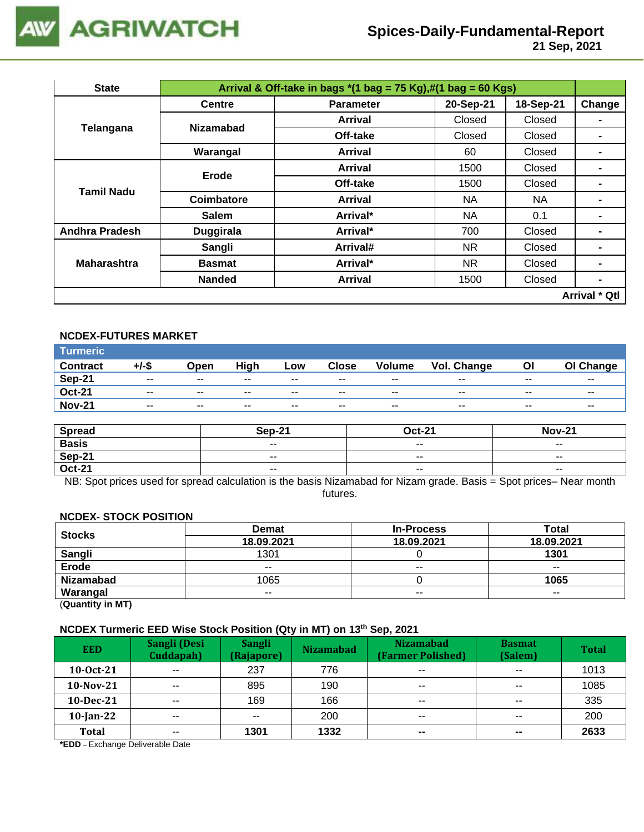

 **21 Sep, 2021**

| <b>State</b>                                                                                                                                                                                                         | Arrival & Off-take in bags $*(1 \text{ bag} = 75 \text{ Kg}), \#(1 \text{ bag} = 60 \text{ Kg})$ |                  |           |           |                |  |  |  |
|----------------------------------------------------------------------------------------------------------------------------------------------------------------------------------------------------------------------|--------------------------------------------------------------------------------------------------|------------------|-----------|-----------|----------------|--|--|--|
|                                                                                                                                                                                                                      | <b>Centre</b>                                                                                    | <b>Parameter</b> | 20-Sep-21 | 18-Sep-21 | Change         |  |  |  |
|                                                                                                                                                                                                                      |                                                                                                  | Arrival          | Closed    | Closed    |                |  |  |  |
|                                                                                                                                                                                                                      |                                                                                                  | Off-take         | Closed    | Closed    |                |  |  |  |
| <b>Nizamabad</b><br>Telangana<br>Warangal<br><b>Erode</b><br>Tamil Nadu<br>Coimbatore<br><b>Salem</b><br><b>Andhra Pradesh</b><br><b>Duggirala</b><br>Sangli<br><b>Maharashtra</b><br><b>Basmat</b><br><b>Nanded</b> |                                                                                                  | Arrival          | 60        | Closed    |                |  |  |  |
|                                                                                                                                                                                                                      |                                                                                                  | <b>Arrival</b>   | 1500      | Closed    |                |  |  |  |
|                                                                                                                                                                                                                      |                                                                                                  | Off-take         | 1500      | Closed    | -              |  |  |  |
|                                                                                                                                                                                                                      |                                                                                                  | <b>Arrival</b>   | NA.       | NA.       |                |  |  |  |
|                                                                                                                                                                                                                      |                                                                                                  | Arrival*         | ΝA        | 0.1       |                |  |  |  |
|                                                                                                                                                                                                                      |                                                                                                  | Arrival*         | 700       | Closed    | $\blacksquare$ |  |  |  |
|                                                                                                                                                                                                                      |                                                                                                  | Arrival#         | NR.       | Closed    | $\blacksquare$ |  |  |  |
|                                                                                                                                                                                                                      |                                                                                                  | Arrival*         | NR.       | Closed    | -              |  |  |  |
|                                                                                                                                                                                                                      |                                                                                                  | <b>Arrival</b>   | 1500      | Closed    | $\blacksquare$ |  |  |  |
|                                                                                                                                                                                                                      |                                                                                                  |                  |           |           | Arrival * Qtl  |  |  |  |

## **NCDEX-FUTURES MARKET**

| Turmeric <sup>1</sup> |               |       |       |        |              |               |             |       |           |
|-----------------------|---------------|-------|-------|--------|--------------|---------------|-------------|-------|-----------|
| <b>Contract</b>       | +/-\$         | Open  | High  | Low    | <b>Close</b> | <b>Volume</b> | Vol. Change | OI    | OI Change |
| <b>Sep-21</b>         | $\sim$ $\sim$ | $- -$ | $- -$ | $\sim$ | $- -$        | $\sim$ $\sim$ | $- -$       | $- -$ | $- -$     |
| <b>Oct-21</b>         | $- -$         | $- -$ | $- -$ | $- -$  | $- -$        | $- -$         | $- -$       | $- -$ | $- -$     |
| <b>Nov-21</b>         | $\sim$ $\sim$ | $- -$ | $- -$ | $- -$  | $- -$        | $- -$         | $- -$       | $- -$ | $- -$     |

| <b>Spread</b> | Sep-21        | <b>Oct-21</b> | <b>Nov-21</b>            |
|---------------|---------------|---------------|--------------------------|
| <b>Basis</b>  | $- -$         | $- -$         | $- -$                    |
| Sep-21        | $\sim$ $\sim$ | $\sim$ $\sim$ | $\overline{\phantom{a}}$ |
| <b>Oct-21</b> | $\sim$ $\sim$ | $\sim$ $\sim$ | $\overline{\phantom{a}}$ |

NB: Spot prices used for spread calculation is the basis Nizamabad for Nizam grade. Basis = Spot prices– Near month futures.

#### **NCDEX- STOCK POSITION**

| <b>Stocks</b>    | <b>Demat</b>                                                                        | <b>In-Process</b> | Total |
|------------------|-------------------------------------------------------------------------------------|-------------------|-------|
|                  | 18.09.2021<br>18.09.2021<br>1301<br>1301<br>$\sim$ $\sim$<br>$- -$<br>$- -$<br>1065 | 18.09.2021        |       |
| Sangli           |                                                                                     |                   |       |
| Erode            |                                                                                     |                   |       |
| <b>Nizamabad</b> |                                                                                     |                   | 1065  |
| Warangal         | $- -$                                                                               | $- -$             | $- -$ |

(**Quantity in MT)**

## **NCDEX Turmeric EED Wise Stock Position (Qty in MT) on 13th Sep, 2021**

| <b>EED</b>   | Sangli (Desi<br>Cuddapah) | <b>Sangli</b><br>(Rajapore) | <b>Nizamabad</b> | <b>Nizamabad</b><br>(Farmer Polished) | <b>Basmat</b><br>(Salem) | <b>Total</b> |
|--------------|---------------------------|-----------------------------|------------------|---------------------------------------|--------------------------|--------------|
| $10-0ct-21$  | $\sim$ $\sim$             | 237                         | 776              | $\overline{\phantom{m}}$              | $- -$                    | 1013         |
| $10-Nov-21$  | $\sim$ $\sim$             | 895                         | 190              | $\sim$ $\sim$                         | $\sim$ $\sim$            | 1085         |
| $10$ -Dec-21 | $- -$                     | 169                         | 166              | $\sim$ $\sim$                         | $- -$                    | 335          |
| $10$ -Jan-22 | $\sim$ $\sim$             | $- -$                       | 200              | $\sim$ $\sim$                         | $\sim$ $\sim$            | 200          |
| Total        | $\overline{\phantom{a}}$  | 1301                        | 1332             | $\overline{\phantom{m}}$              | $\sim$                   | 2633         |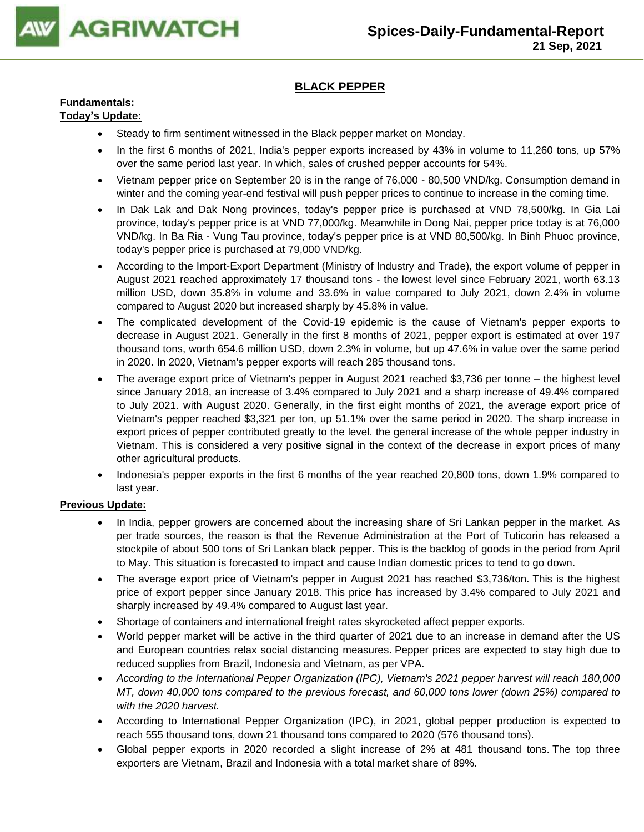

## **BLACK PEPPER**

## **Fundamentals:**

## **Today's Update:**

- Steady to firm sentiment witnessed in the Black pepper market on Monday.
- In the first 6 months of 2021, India's pepper exports increased by 43% in volume to 11,260 tons, up 57% over the same period last year. In which, sales of crushed pepper accounts for 54%.
- Vietnam pepper price on September 20 is in the range of 76,000 80,500 VND/kg. Consumption demand in winter and the coming year-end festival will push pepper prices to continue to increase in the coming time.
- In Dak Lak and Dak Nong provinces, today's pepper price is purchased at VND 78,500/kg. In Gia Lai province, today's pepper price is at VND 77,000/kg. Meanwhile in Dong Nai, pepper price today is at 76,000 VND/kg. In Ba Ria - Vung Tau province, today's pepper price is at VND 80,500/kg. In Binh Phuoc province, today's pepper price is purchased at 79,000 VND/kg.
- According to the Import-Export Department (Ministry of Industry and Trade), the export volume of pepper in August 2021 reached approximately 17 thousand tons - the lowest level since February 2021, worth 63.13 million USD, down 35.8% in volume and 33.6% in value compared to July 2021, down 2.4% in volume compared to August 2020 but increased sharply by 45.8% in value.
- The complicated development of the Covid-19 epidemic is the cause of Vietnam's pepper exports to decrease in August 2021. Generally in the first 8 months of 2021, pepper export is estimated at over 197 thousand tons, worth 654.6 million USD, down 2.3% in volume, but up 47.6% in value over the same period in 2020. In 2020, Vietnam's pepper exports will reach 285 thousand tons.
- The average export price of Vietnam's pepper in August 2021 reached \$3,736 per tonne the highest level since January 2018, an increase of 3.4% compared to July 2021 and a sharp increase of 49.4% compared to July 2021. with August 2020. Generally, in the first eight months of 2021, the average export price of Vietnam's pepper reached \$3,321 per ton, up 51.1% over the same period in 2020. The sharp increase in export prices of pepper contributed greatly to the level. the general increase of the whole pepper industry in Vietnam. This is considered a very positive signal in the context of the decrease in export prices of many other agricultural products.
- Indonesia's pepper exports in the first 6 months of the year reached 20,800 tons, down 1.9% compared to last year.

- In India, pepper growers are concerned about the increasing share of Sri Lankan pepper in the market. As per trade sources, the reason is that the Revenue Administration at the Port of Tuticorin has released a stockpile of about 500 tons of Sri Lankan black pepper. This is the backlog of goods in the period from April to May. This situation is forecasted to impact and cause Indian domestic prices to tend to go down.
- The average export price of Vietnam's pepper in August 2021 has reached \$3,736/ton. This is the highest price of export pepper since January 2018. This price has increased by 3.4% compared to July 2021 and sharply increased by 49.4% compared to August last year.
- Shortage of containers and international freight rates skyrocketed affect pepper exports.
- World pepper market will be active in the third quarter of 2021 due to an increase in demand after the US and European countries relax social distancing measures. Pepper prices are expected to stay high due to reduced supplies from Brazil, Indonesia and Vietnam, as per VPA.
- *According to the International Pepper Organization (IPC), Vietnam's 2021 pepper harvest will reach 180,000 MT, down 40,000 tons compared to the previous forecast, and 60,000 tons lower (down 25%) compared to with the 2020 harvest.*
- According to International Pepper Organization (IPC), in 2021, global pepper production is expected to reach 555 thousand tons, down 21 thousand tons compared to 2020 (576 thousand tons).
- Global pepper exports in 2020 recorded a slight increase of 2% at 481 thousand tons. The top three exporters are Vietnam, Brazil and Indonesia with a total market share of 89%.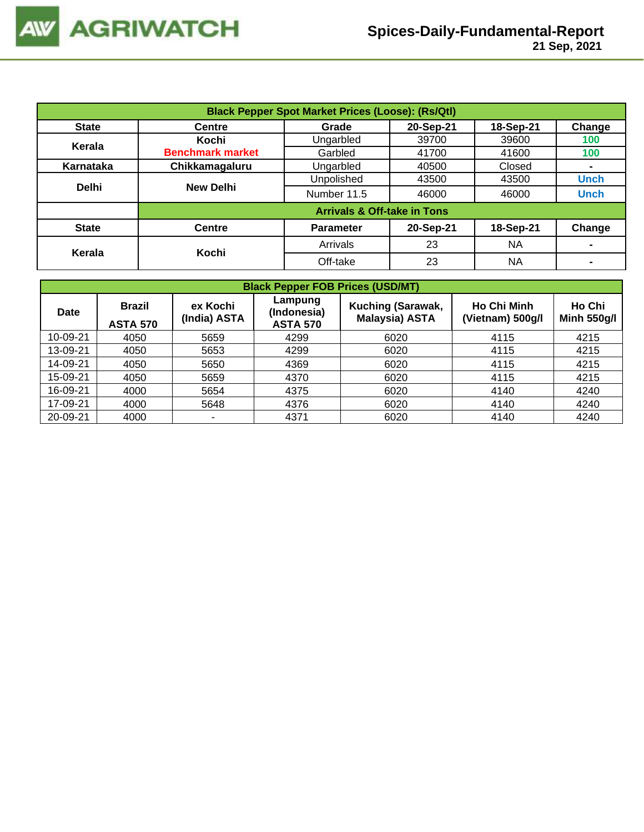| <b>Black Pepper Spot Market Prices (Loose): (Rs/Qtl)</b> |                         |                                        |           |           |                |  |  |
|----------------------------------------------------------|-------------------------|----------------------------------------|-----------|-----------|----------------|--|--|
| <b>State</b>                                             | <b>Centre</b>           | Grade                                  | 20-Sep-21 | 18-Sep-21 | Change         |  |  |
| Kerala                                                   | Kochi                   | Ungarbled                              | 39700     | 39600     | 100            |  |  |
|                                                          | <b>Benchmark market</b> | Garbled                                | 41700     | 41600     | 100            |  |  |
| Karnataka                                                | Chikkamagaluru          | Ungarbled                              | 40500     | Closed    | $\blacksquare$ |  |  |
|                                                          |                         | Unpolished                             | 43500     | 43500     | <b>Unch</b>    |  |  |
| <b>Delhi</b>                                             | <b>New Delhi</b>        | Number 11.5                            | 46000     | 46000     | <b>Unch</b>    |  |  |
|                                                          |                         | <b>Arrivals &amp; Off-take in Tons</b> |           |           |                |  |  |
| <b>State</b>                                             | <b>Centre</b>           | <b>Parameter</b>                       | 20-Sep-21 | 18-Sep-21 | Change         |  |  |
|                                                          |                         | Arrivals                               | 23        | NA        |                |  |  |
| Kerala                                                   | Kochi                   | Off-take                               | 23        | <b>NA</b> | $\blacksquare$ |  |  |

| <b>Black Pepper FOB Prices (USD/MT)</b> |                                  |                          |                                           |                                            |                                        |                              |  |  |  |
|-----------------------------------------|----------------------------------|--------------------------|-------------------------------------------|--------------------------------------------|----------------------------------------|------------------------------|--|--|--|
| Date                                    | <b>Brazil</b><br><b>ASTA 570</b> | ex Kochi<br>(India) ASTA | Lampung<br>(Indonesia)<br><b>ASTA 570</b> | Kuching (Sarawak,<br><b>Malaysia) ASTA</b> | <b>Ho Chi Minh</b><br>(Vietnam) 500g/l | Ho Chi<br><b>Minh 550g/l</b> |  |  |  |
| 10-09-21                                | 4050                             | 5659                     | 4299                                      | 6020                                       | 4115                                   | 4215                         |  |  |  |
| 13-09-21                                | 4050                             | 5653                     | 4299                                      | 6020                                       | 4115                                   | 4215                         |  |  |  |
| 14-09-21                                | 4050                             | 5650                     | 4369                                      | 6020                                       | 4115                                   | 4215                         |  |  |  |
| 15-09-21                                | 4050                             | 5659                     | 4370                                      | 6020                                       | 4115                                   | 4215                         |  |  |  |
| 16-09-21                                | 4000                             | 5654                     | 4375                                      | 6020                                       | 4140                                   | 4240                         |  |  |  |
| 17-09-21                                | 4000                             | 5648                     | 4376                                      | 6020                                       | 4140                                   | 4240                         |  |  |  |
| 20-09-21                                | 4000                             | $\overline{\phantom{0}}$ | 4371                                      | 6020                                       | 4140                                   | 4240                         |  |  |  |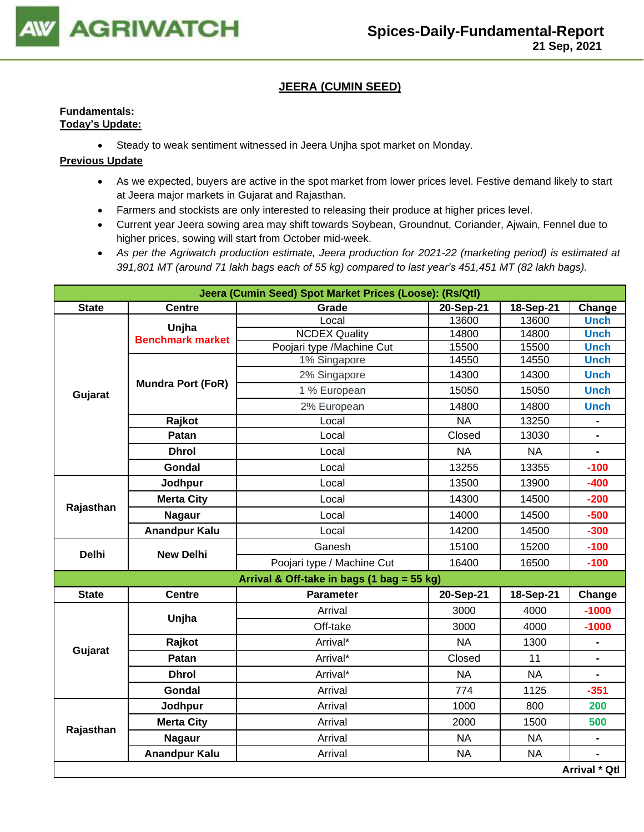

## **JEERA (CUMIN SEED)**

## **Fundamentals: Today's Update:**

• Steady to weak sentiment witnessed in Jeera Unjha spot market on Monday.

- As we expected, buyers are active in the spot market from lower prices level. Festive demand likely to start at Jeera major markets in Gujarat and Rajasthan.
- Farmers and stockists are only interested to releasing their produce at higher prices level.
- Current year Jeera sowing area may shift towards Soybean, Groundnut, Coriander, Ajwain, Fennel due to higher prices, sowing will start from October mid-week.
- *As per the Agriwatch production estimate, Jeera production for 2021-22 (marketing period) is estimated at 391,801 MT (around 71 lakh bags each of 55 kg) compared to last year's 451,451 MT (82 lakh bags).*

|                                                            | Jeera (Cumin Seed) Spot Market Prices (Loose): (Rs/Qtl) |                                            |           |           |                |  |  |  |  |
|------------------------------------------------------------|---------------------------------------------------------|--------------------------------------------|-----------|-----------|----------------|--|--|--|--|
| <b>State</b>                                               | <b>Centre</b>                                           | Grade                                      | 20-Sep-21 | 18-Sep-21 | Change         |  |  |  |  |
|                                                            | Unjha                                                   | Local                                      | 13600     | 13600     | <b>Unch</b>    |  |  |  |  |
|                                                            | <b>Benchmark market</b>                                 | <b>NCDEX Quality</b>                       | 14800     | 14800     | <b>Unch</b>    |  |  |  |  |
|                                                            |                                                         | Poojari type /Machine Cut                  | 15500     | 15500     | <b>Unch</b>    |  |  |  |  |
|                                                            |                                                         | 1% Singapore                               | 14550     | 14550     | <b>Unch</b>    |  |  |  |  |
|                                                            | <b>Mundra Port (FoR)</b>                                | 2% Singapore                               | 14300     | 14300     | <b>Unch</b>    |  |  |  |  |
| Gujarat                                                    |                                                         | 1 % European                               | 15050     | 15050     | <b>Unch</b>    |  |  |  |  |
|                                                            |                                                         | 2% European                                | 14800     | 14800     | <b>Unch</b>    |  |  |  |  |
|                                                            | Rajkot                                                  | Local                                      | <b>NA</b> | 13250     |                |  |  |  |  |
|                                                            | Patan                                                   | Local                                      | Closed    | 13030     |                |  |  |  |  |
|                                                            | <b>Dhrol</b>                                            | Local                                      | <b>NA</b> | <b>NA</b> | $\blacksquare$ |  |  |  |  |
|                                                            | Gondal                                                  | Local                                      | 13255     | 13355     | $-100$         |  |  |  |  |
| Jodhpur<br><b>Merta City</b><br>Rajasthan<br><b>Nagaur</b> |                                                         | Local                                      | 13500     | 13900     | $-400$         |  |  |  |  |
|                                                            |                                                         | Local                                      | 14300     | 14500     | $-200$         |  |  |  |  |
|                                                            |                                                         | Local                                      | 14000     | 14500     | $-500$         |  |  |  |  |
|                                                            | <b>Anandpur Kalu</b>                                    | Local                                      | 14200     | 14500     | $-300$         |  |  |  |  |
| <b>Delhi</b>                                               | <b>New Delhi</b>                                        | Ganesh                                     | 15100     | 15200     | $-100$         |  |  |  |  |
|                                                            |                                                         | Poojari type / Machine Cut                 | 16400     | 16500     | $-100$         |  |  |  |  |
|                                                            |                                                         | Arrival & Off-take in bags (1 bag = 55 kg) |           |           |                |  |  |  |  |
| <b>State</b>                                               | <b>Centre</b>                                           | <b>Parameter</b>                           | 20-Sep-21 | 18-Sep-21 | Change         |  |  |  |  |
|                                                            | Unjha                                                   | Arrival                                    | 3000      | 4000      | $-1000$        |  |  |  |  |
|                                                            |                                                         | Off-take                                   | 3000      | 4000      | $-1000$        |  |  |  |  |
|                                                            | Rajkot                                                  | Arrival*                                   | <b>NA</b> | 1300      | $\blacksquare$ |  |  |  |  |
| Gujarat                                                    | Patan                                                   | Arrival*                                   | Closed    | 11        |                |  |  |  |  |
|                                                            | <b>Dhrol</b>                                            | Arrival*                                   | <b>NA</b> | <b>NA</b> |                |  |  |  |  |
|                                                            | Gondal                                                  | Arrival                                    | 774       | 1125      | $-351$         |  |  |  |  |
|                                                            | Jodhpur                                                 | Arrival                                    | 1000      | 800       | 200            |  |  |  |  |
|                                                            | <b>Merta City</b>                                       | Arrival                                    | 2000      | 1500      | 500            |  |  |  |  |
| Rajasthan                                                  | <b>Nagaur</b>                                           | Arrival                                    | <b>NA</b> | <b>NA</b> |                |  |  |  |  |
|                                                            | <b>Anandpur Kalu</b>                                    | Arrival                                    | <b>NA</b> | <b>NA</b> |                |  |  |  |  |
|                                                            |                                                         |                                            |           |           | Arrival * Qtl  |  |  |  |  |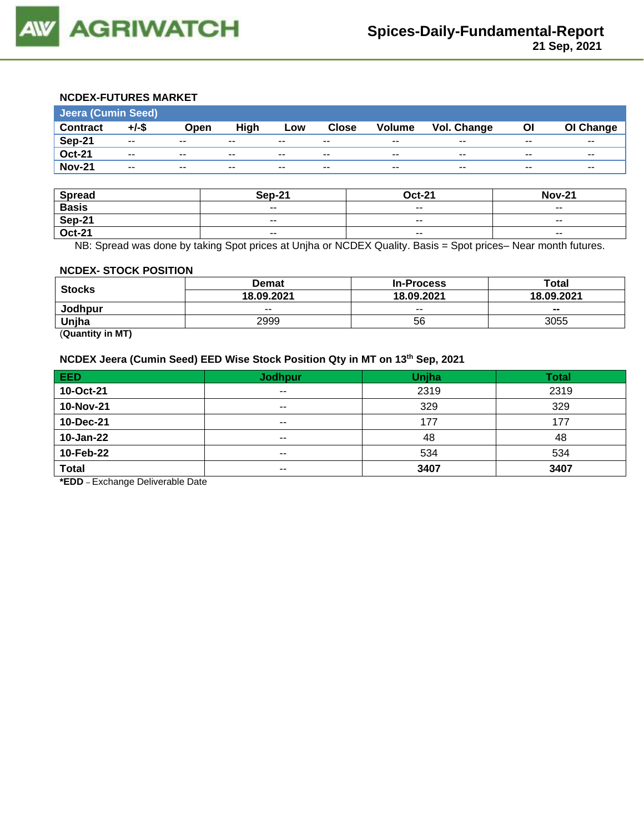

## **NCDEX-FUTURES MARKET**

| Jeera (Cumin Seed) |                          |       |       |       |              |                          |             |       |           |
|--------------------|--------------------------|-------|-------|-------|--------------|--------------------------|-------------|-------|-----------|
| <b>Contract</b>    | $+/-$ \$                 | Open  | High  | Low   | <b>Close</b> | <b>Volume</b>            | Vol. Change | ΟI    | OI Change |
| Sep-21             | $- -$                    | $- -$ | $- -$ | $- -$ | $- -$        | $- -$                    | $- -$       | $- -$ | $- -$     |
| <b>Oct-21</b>      | $\overline{\phantom{a}}$ | $- -$ | $- -$ | $- -$ | $- -$        | $\overline{\phantom{a}}$ | $- -$       | $- -$ | $- -$     |
| <b>Nov-21</b>      | $- -$                    | $- -$ | $- -$ | $- -$ | $- -$        | $- -$                    | $- -$       | $- -$ | $- -$     |

| <b>Spread</b> | <b>Sep-21</b> | <b>Oct-21</b>            | <b>Nov-21</b>            |
|---------------|---------------|--------------------------|--------------------------|
| <b>Basis</b>  | $- -$         | $- -$                    | $- -$                    |
| Sep-21        | $- -$         | $\sim$ $\sim$            | $- -$                    |
| <b>Oct-21</b> | $- -$         | $\overline{\phantom{a}}$ | $\overline{\phantom{a}}$ |

NB: Spread was done by taking Spot prices at Unjha or NCDEX Quality. Basis = Spot prices– Near month futures.

#### **NCDEX- STOCK POSITION**

|               | Demat      | <b>In-Process</b> | Total      |  |
|---------------|------------|-------------------|------------|--|
| <b>Stocks</b> | 18.09.2021 | 18.09.2021        | 18.09.2021 |  |
| Jodhpur       | $- -$      | $- -$             | $- -$      |  |
| Unjha         | 2999       | 56                | 3055       |  |

(**Quantity in MT)**

## **NCDEX Jeera (Cumin Seed) EED Wise Stock Position Qty in MT on 13th Sep, 2021**

| EED          | <b>Jodhpur</b> | Unjha | <b>Total</b> |
|--------------|----------------|-------|--------------|
| 10-Oct-21    | $- -$          | 2319  | 2319         |
| 10-Nov-21    | $- -$          | 329   | 329          |
| 10-Dec-21    | $\sim$ $\sim$  | 177   | 177          |
| 10-Jan-22    | $\sim$ $\sim$  | 48    | 48           |
| 10-Feb-22    | $- -$          | 534   | 534          |
| <b>Total</b> | $\sim$ $\sim$  | 3407  | 3407         |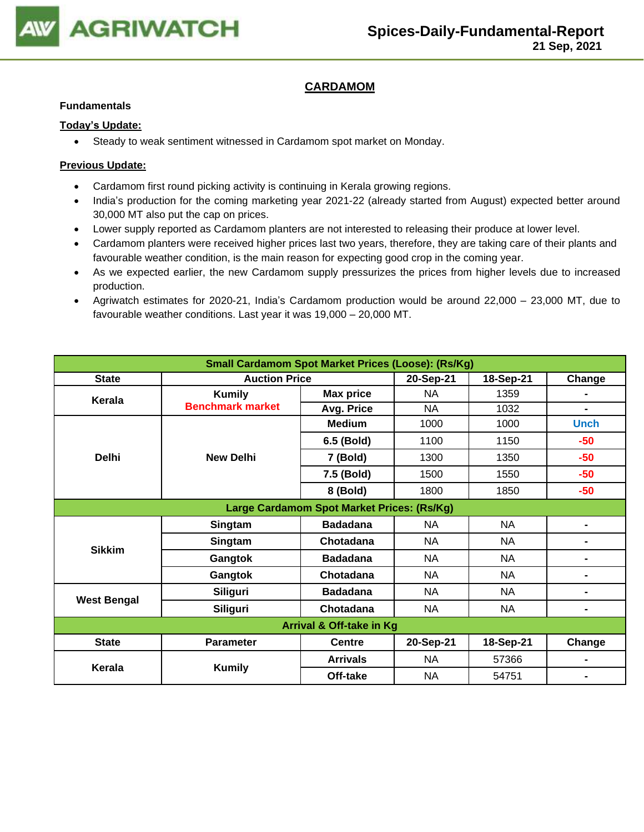

## **CARDAMOM**

#### **Fundamentals**

## **Today's Update:**

• Steady to weak sentiment witnessed in Cardamom spot market on Monday.

- Cardamom first round picking activity is continuing in Kerala growing regions.
- India's production for the coming marketing year 2021-22 (already started from August) expected better around 30,000 MT also put the cap on prices.
- Lower supply reported as Cardamom planters are not interested to releasing their produce at lower level.
- Cardamom planters were received higher prices last two years, therefore, they are taking care of their plants and favourable weather condition, is the main reason for expecting good crop in the coming year.
- As we expected earlier, the new Cardamom supply pressurizes the prices from higher levels due to increased production.
- Agriwatch estimates for 2020-21, India's Cardamom production would be around 22,000 23,000 MT, due to favourable weather conditions. Last year it was 19,000 – 20,000 MT.

| <b>Small Cardamom Spot Market Prices (Loose): (Rs/Kg)</b>      |                         |                  |           |           |                |  |  |
|----------------------------------------------------------------|-------------------------|------------------|-----------|-----------|----------------|--|--|
| <b>Auction Price</b><br>18-Sep-21<br><b>State</b><br>20-Sep-21 |                         |                  |           |           |                |  |  |
| Kerala                                                         | <b>Kumily</b>           | <b>Max price</b> | <b>NA</b> | 1359      | -              |  |  |
|                                                                | <b>Benchmark market</b> | Avg. Price       | NA        | 1032      | Ξ.             |  |  |
|                                                                |                         | <b>Medium</b>    | 1000      | 1000      | <b>Unch</b>    |  |  |
|                                                                |                         | 6.5 (Bold)       | 1100      | 1150      | $-50$          |  |  |
| <b>Delhi</b>                                                   | <b>New Delhi</b>        | 7 (Bold)         | 1300      | 1350      | $-50$          |  |  |
|                                                                |                         | 7.5 (Bold)       | 1500      | 1550      | $-50$          |  |  |
|                                                                |                         | 8 (Bold)         | 1800      | 1850      | $-50$          |  |  |
| Large Cardamom Spot Market Prices: (Rs/Kg)                     |                         |                  |           |           |                |  |  |
|                                                                | Singtam                 | <b>Badadana</b>  | NA        | NA        | ۰.             |  |  |
|                                                                | Singtam                 | Chotadana        | <b>NA</b> | <b>NA</b> | $\blacksquare$ |  |  |
| <b>Sikkim</b>                                                  | Gangtok                 | <b>Badadana</b>  | <b>NA</b> | <b>NA</b> | Ξ.             |  |  |
|                                                                | Gangtok                 | Chotadana        | <b>NA</b> | <b>NA</b> | ۰              |  |  |
| <b>West Bengal</b>                                             | <b>Siliguri</b>         | <b>Badadana</b>  | NA        | NA        | ۰              |  |  |
|                                                                | <b>Siliguri</b>         | Chotadana        | NA        | <b>NA</b> | ۰              |  |  |
| Arrival & Off-take in Kg                                       |                         |                  |           |           |                |  |  |
| <b>State</b>                                                   | <b>Parameter</b>        | <b>Centre</b>    | 20-Sep-21 | 18-Sep-21 | Change         |  |  |
| Kerala                                                         |                         | <b>Arrivals</b>  | NA        | 57366     | ۰              |  |  |
|                                                                | <b>Kumily</b>           | Off-take         | <b>NA</b> | 54751     |                |  |  |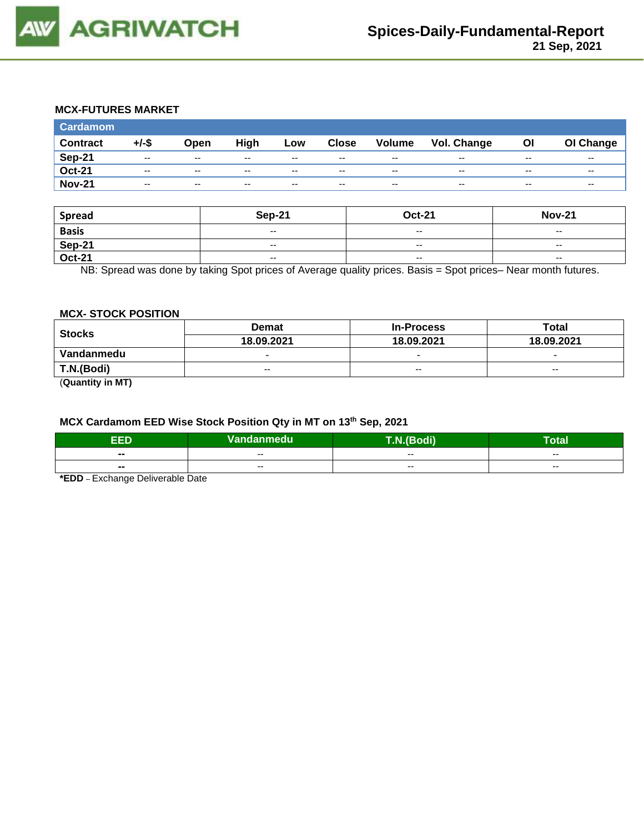

## **MCX-FUTURES MARKET**

| <b>Cardamom</b> |          |                          |       |       |               |                          |             |       |           |
|-----------------|----------|--------------------------|-------|-------|---------------|--------------------------|-------------|-------|-----------|
| <b>Contract</b> | $+/-$ \$ | Open                     | High  | Low   | <b>Close</b>  | Volume                   | Vol. Change | Οl    | OI Change |
| <b>Sep-21</b>   | $- -$    | $\sim$ $\sim$            | $- -$ | $- -$ | $\sim$ $\sim$ | $\overline{\phantom{a}}$ | $- -$       | $- -$ | $- -$     |
| <b>Oct-21</b>   | $- -$    | $-$                      | $- -$ | $- -$ | $- -$         | $\overline{\phantom{a}}$ | $- -$       | $- -$ | $- -$     |
| <b>Nov-21</b>   | $- -$    | $\overline{\phantom{a}}$ | $- -$ | $- -$ | $- -$         | $\overline{\phantom{a}}$ | $- -$       | $- -$ | $- -$     |

| <b>Spread</b> | <b>Sep-21</b>                                  | <b>Oct-21</b>            | <b>Nov-21</b>            |
|---------------|------------------------------------------------|--------------------------|--------------------------|
| <b>Basis</b>  | $\hspace{0.1mm}-\hspace{0.1mm}-\hspace{0.1mm}$ | $-$                      | $- -$                    |
| Sep-21        | $- -$                                          | $- -$                    | $- -$                    |
| <b>Oct-21</b> | $\hspace{0.1mm}-\hspace{0.1mm}-\hspace{0.1mm}$ | $\overline{\phantom{a}}$ | $\overline{\phantom{a}}$ |

NB: Spread was done by taking Spot prices of Average quality prices. Basis = Spot prices– Near month futures.

## **MCX- STOCK POSITION**

| <b>Stocks</b> | <b>Demat</b>             | <b>In-Process</b>        | Total                    |  |
|---------------|--------------------------|--------------------------|--------------------------|--|
|               | 18.09.2021               | 18.09.2021               | 18.09.2021               |  |
| Vandanmedu    | $\overline{\phantom{0}}$ | $\overline{\phantom{0}}$ | $\overline{\phantom{0}}$ |  |
| T.N.(Bodi)    | $- -$                    | $- -$                    | $- -$                    |  |
| $\sim$        |                          |                          |                          |  |

(**Quantity in MT)**

#### **MCX Cardamom EED Wise Stock Position Qty in MT on 13th Sep, 2021**

| -6<br>- 2                | Vandanmedu | odi)<br>$\sqrt{2}$ | otal                     |
|--------------------------|------------|--------------------|--------------------------|
| $\blacksquare$           | $- -$      | $- -$              | $- -$                    |
| $\overline{\phantom{a}}$ | $- -$      | $- -$              | $\overline{\phantom{a}}$ |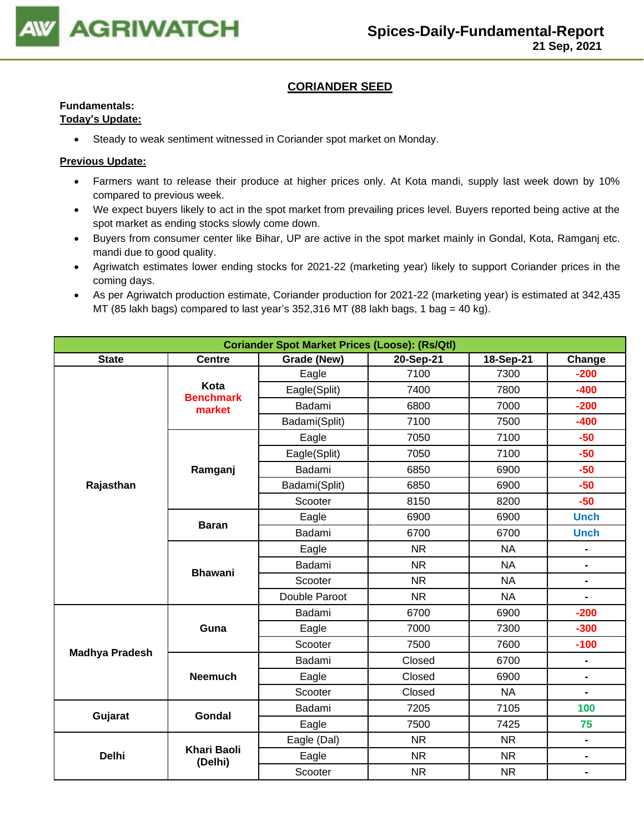

## **CORIANDER SEED**

## **Fundamentals:**

## **Today's Update:**

• Steady to weak sentiment witnessed in Coriander spot market on Monday.

- Farmers want to release their produce at higher prices only. At Kota mandi, supply last week down by 10% compared to previous week.
- We expect buyers likely to act in the spot market from prevailing prices level. Buyers reported being active at the spot market as ending stocks slowly come down.
- Buyers from consumer center like Bihar, UP are active in the spot market mainly in Gondal, Kota, Ramganj etc. mandi due to good quality.
- Agriwatch estimates lower ending stocks for 2021-22 (marketing year) likely to support Coriander prices in the coming days.
- As per Agriwatch production estimate, Coriander production for 2021-22 (marketing year) is estimated at 342,435 MT (85 lakh bags) compared to last year's 352,316 MT (88 lakh bags, 1 bag = 40 kg).

| <b>Coriander Spot Market Prices (Loose): (Rs/Qtl)</b> |                               |                                                 |           |           |                |  |  |
|-------------------------------------------------------|-------------------------------|-------------------------------------------------|-----------|-----------|----------------|--|--|
| <b>State</b>                                          | <b>Centre</b>                 | Grade (New)<br>20-Sep-21<br>18-Sep-21<br>Change |           |           |                |  |  |
|                                                       |                               | Eagle                                           | 7100      | 7300      | $-200$         |  |  |
|                                                       | Kota<br><b>Benchmark</b>      | Eagle(Split)                                    | 7400      | 7800      | $-400$         |  |  |
|                                                       | market                        | Badami                                          | 6800      | 7000      | $-200$         |  |  |
|                                                       |                               | Badami(Split)                                   | 7100      | 7500      | $-400$         |  |  |
|                                                       |                               | Eagle                                           | 7050      | 7100      | $-50$          |  |  |
|                                                       |                               | Eagle(Split)                                    | 7050      | 7100      | $-50$          |  |  |
|                                                       | Ramganj                       | Badami                                          | 6850      | 6900      | $-50$          |  |  |
| Rajasthan                                             |                               | Badami(Split)                                   | 6850      | 6900      | $-50$          |  |  |
|                                                       |                               | Scooter                                         | 8150      | 8200      | $-50$          |  |  |
|                                                       |                               | Eagle                                           | 6900      | 6900      | <b>Unch</b>    |  |  |
|                                                       | <b>Baran</b>                  | Badami                                          | 6700      | 6700      | <b>Unch</b>    |  |  |
|                                                       | <b>Bhawani</b>                | Eagle                                           | <b>NR</b> | <b>NA</b> |                |  |  |
|                                                       |                               | Badami                                          | <b>NR</b> | <b>NA</b> | $\blacksquare$ |  |  |
|                                                       |                               | Scooter                                         | <b>NR</b> | <b>NA</b> | $\blacksquare$ |  |  |
|                                                       |                               | Double Paroot                                   | <b>NR</b> | <b>NA</b> | $\overline{a}$ |  |  |
|                                                       |                               | Badami                                          | 6700      | 6900      | $-200$         |  |  |
|                                                       | Guna                          | Eagle                                           | 7000      | 7300      | $-300$         |  |  |
|                                                       |                               | Scooter                                         | 7500      | 7600      | $-100$         |  |  |
| <b>Madhya Pradesh</b>                                 |                               | Badami                                          | Closed    | 6700      | $\blacksquare$ |  |  |
|                                                       | <b>Neemuch</b>                | Eagle                                           | Closed    | 6900      | $\blacksquare$ |  |  |
|                                                       |                               | Scooter                                         | Closed    | <b>NA</b> | $\blacksquare$ |  |  |
|                                                       | <b>Gondal</b>                 | Badami                                          | 7205      | 7105      | 100            |  |  |
| Gujarat                                               |                               | Eagle                                           | 7500      | 7425      | 75             |  |  |
|                                                       |                               | Eagle (Dal)                                     | <b>NR</b> | <b>NR</b> | $\blacksquare$ |  |  |
| <b>Delhi</b>                                          | <b>Khari Baoli</b><br>(Delhi) | Eagle                                           | <b>NR</b> | <b>NR</b> | $\blacksquare$ |  |  |
|                                                       |                               | Scooter                                         | <b>NR</b> | <b>NR</b> | $\blacksquare$ |  |  |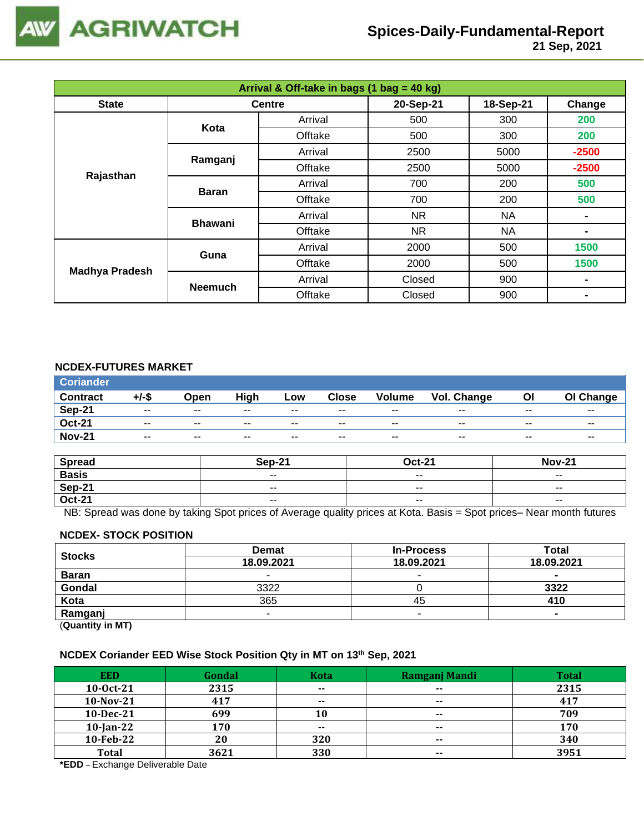

| Arrival & Off-take in bags (1 bag = 40 kg) |                |               |           |           |                |  |  |
|--------------------------------------------|----------------|---------------|-----------|-----------|----------------|--|--|
| <b>State</b>                               |                | <b>Centre</b> | 20-Sep-21 | 18-Sep-21 | Change         |  |  |
|                                            | Kota           | Arrival       | 500       | 300       | 200            |  |  |
|                                            |                | Offtake       | 500       | 300       | 200            |  |  |
|                                            | Ramganj        | Arrival       | 2500      | 5000      | $-2500$        |  |  |
|                                            |                | Offtake       | 2500      | 5000      | $-2500$        |  |  |
| Rajasthan                                  | <b>Baran</b>   | Arrival       | 700       | 200       | 500            |  |  |
|                                            |                | Offtake       | 700       | 200       | 500            |  |  |
|                                            | <b>Bhawani</b> | Arrival       | <b>NR</b> | NA        | $\blacksquare$ |  |  |
|                                            |                | Offtake       | NR.       | NA        | $\blacksquare$ |  |  |
|                                            | Guna           | Arrival       | 2000      | 500       | 1500           |  |  |
|                                            |                | Offtake       | 2000      | 500       | 1500           |  |  |
| <b>Madhya Pradesh</b>                      | <b>Neemuch</b> | Arrival       | Closed    | 900       | $\blacksquare$ |  |  |
|                                            |                | Offtake       | Closed    | 900       | -              |  |  |

## **NCDEX-FUTURES MARKET**

| <b>Coriander</b> |          |                          |       |                          |               |                          |             |                          |                          |
|------------------|----------|--------------------------|-------|--------------------------|---------------|--------------------------|-------------|--------------------------|--------------------------|
| <b>Contract</b>  | $+/-$ \$ | Open                     | High  | Low                      | Close         | <b>Volume</b>            | Vol. Change | Οl                       | OI Change                |
| Sep-21           | $- -$    | $- -$                    | $- -$ | $\overline{\phantom{m}}$ | $- -$         | $\overline{\phantom{a}}$ | $- -$       | $\overline{\phantom{a}}$ | $\overline{\phantom{m}}$ |
| <b>Oct-21</b>    | $- -$    | $\sim$ $\sim$            | $- -$ | $- -$                    | $\sim$ $\sim$ | $- -$                    | $- -$       | $- -$                    | $\overline{\phantom{a}}$ |
| <b>Nov-21</b>    | $- -$    | $\overline{\phantom{a}}$ | $- -$ | $- -$                    | $- -$         | $- -$                    | $- -$       | $- -$                    | $- -$                    |

| <b>Spread</b> | <b>Sep-21</b> | $Oct-21$                 | <b>Nov-21</b>            |
|---------------|---------------|--------------------------|--------------------------|
| <b>Basis</b>  | $ -$          | $\overline{\phantom{a}}$ | $\overline{\phantom{a}}$ |
| <b>Sep-21</b> | $- -$         | $- -$                    | $- -$                    |
| <b>Oct-21</b> | $ -$          | $\sim$ $\sim$            | $\overline{\phantom{a}}$ |

NB: Spread was done by taking Spot prices of Average quality prices at Kota. Basis = Spot prices– Near month futures

#### **NCDEX- STOCK POSITION**

| <b>Stocks</b>           | <b>Demat</b> | <b>In-Process</b> | Total      |
|-------------------------|--------------|-------------------|------------|
|                         | 18.09.2021   | 18.09.2021        | 18.09.2021 |
| <b>Baran</b>            | -            |                   | $\sim$     |
| Gondal                  | 3322         |                   | 3322       |
| Kota                    | 365          | 45                | 410        |
| Ramganj                 | -            |                   |            |
| (0.1222, 0.0122, 0.000) |              |                   |            |

(**Quantity in MT)**

#### **NCDEX Coriander EED Wise Stock Position Qty in MT on 13 th Sep, 2021**

| <b>EED</b>   | Gondal | <b>Kota</b>   | Ramganj Mandi | <b>Total</b> |
|--------------|--------|---------------|---------------|--------------|
| $10-0ct-21$  | 2315   | $\sim$ $\sim$ | $- -$         | 2315         |
| 10-Nov-21    | 417    | $- -$         | $\sim$        | 417          |
| 10-Dec-21    | 699    | 10            | $- -$         | 709          |
| $10$ -Jan-22 | 170    | $- -$         | $\sim$        | 170          |
| 10-Feb-22    | 20     | 320           | $- -$         | 340          |
| <b>Total</b> | 3621   | 330           | $\sim$ $\sim$ | 3951         |